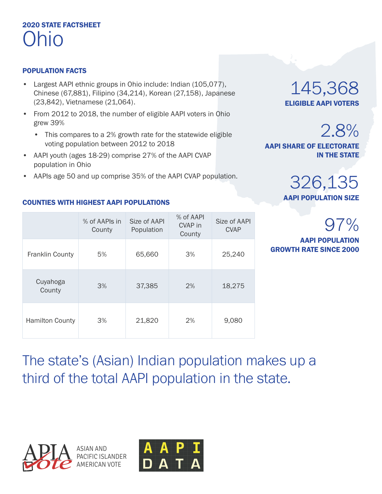## 2020 STATE FACTSHEET Ohio

## POPULATION FACTS

- Largest AAPI ethnic groups in Ohio include: Indian (105,077), Chinese (67,881), Filipino (34,214), Korean (27,158), Japanese (23,842), Vietnamese (21,064).
- From 2012 to 2018, the number of eligible AAPI voters in Ohio grew 39%
	- This compares to a 2% growth rate for the statewide eligible voting population between 2012 to 2018
- AAPI youth (ages 18-29) comprise 27% of the AAPI CVAP population in Ohio
- AAPIs age 50 and up comprise 35% of the AAPI CVAP population.

### COUNTIES WITH HIGHEST AAPI POPULATIONS

|                        | % of AAPIs in<br>County | Size of AAPI<br>Population | % of AAPI<br>CVAP in<br>County | Size of AAPI<br><b>CVAP</b> |
|------------------------|-------------------------|----------------------------|--------------------------------|-----------------------------|
| <b>Franklin County</b> | 5%                      | 65,660                     | 3%                             | 25,240                      |
| Cuyahoga<br>County     | 3%                      | 37,385                     | 2%                             | 18,275                      |
| <b>Hamilton County</b> | 3%                      | 21,820                     | 2%                             | 9,080                       |

145,368 ELIGIBLE AAPI VOTERS

2.8% AAPI SHARE OF ELECTORATE IN THE STATE

# 326,135 AAPI POPULATION SIZE

97% AAPI POPULATION GROWTH RATE SINCE 2000

The state's (Asian) Indian population makes up a third of the total AAPI population in the state.

ASIAN AND PACIFIC ISLANDER AMERICAN VOTE